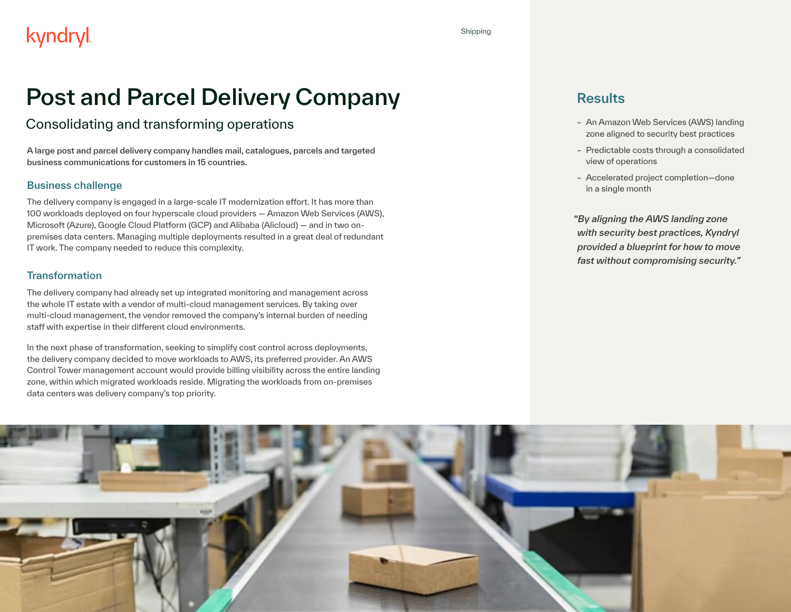# Post and Parcel Delivery Company

#### Consolidating and transforming operations

A large post and parcel delivery company handles mail, catalogues, parcels and targeted business communications for customers in 15 countries.

#### Business challenge

The delivery company is engaged in a large-scale IT modernization effort. It has more than 100 workloads deployed on four hyperscale cloud providers — Amazon Web Services (AWS), Microsoft (Azure), Google Cloud Platform (GCP) and Alibaba (Alicloud) — and in two onpremises data centers. Managing multiple deployments resulted in a great deal of redundant IT work. The company needed to reduce this complexity.

#### **Transformation**

The delivery company had already set up integrated monitoring and management across the whole IT estate with a vendor of multi-cloud management services. By taking over multi-cloud management, the vendor removed the company's internal burden of needing staff with expertise in their different cloud environments.

In the next phase of transformation, seeking to simplify cost control across deployments, the delivery company decided to move workloads to AWS, its preferred provider. An AWS Control Tower management account would provide billing visibility across the entire landing zone, within which migrated workloads reside. Migrating the workloads from on-premises data centers was delivery company's top priority.

#### **Results**

- An Amazon Web Services (AWS) landing zone aligned to security best practices
- Predictable costs through a consolidated view of operations
- Accelerated project completion—done in a single month

*"By aligning the AWS landing zone with security best practices, Kyndryl provided a blueprint for how to move fast without compromising security."*

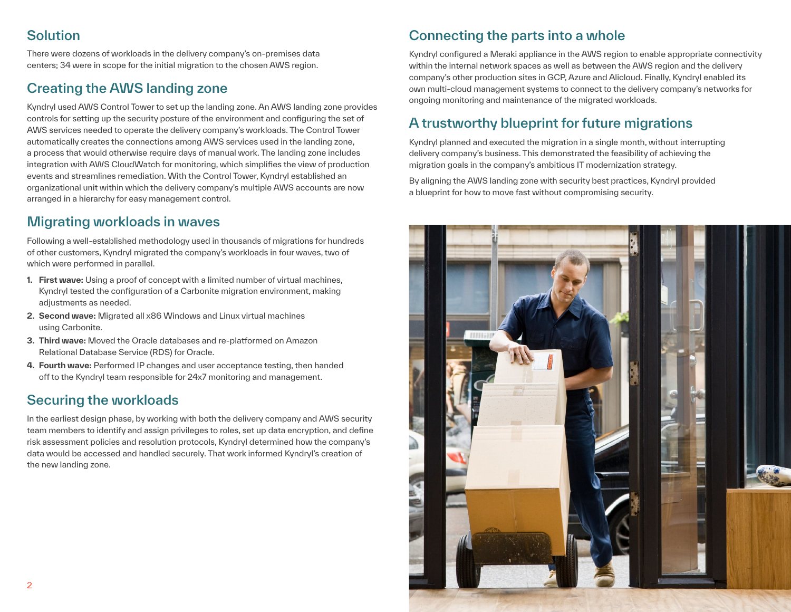## **Solution**

There were dozens of workloads in the delivery company's on-premises data centers; 34 were in scope for the initial migration to the chosen AWS region.

# Creating the AWS landing zone

Kyndryl used AWS Control Tower to set up the landing zone. An AWS landing zone provides controls for setting up the security posture of the environment and configuring the set of AWS services needed to operate the delivery company's workloads. The Control Tower automatically creates the connections among AWS services used in the landing zone, a process that would otherwise require days of manual work. The landing zone includes integration with AWS CloudWatch for monitoring, which simplifies the view of production events and streamlines remediation. With the Control Tower, Kyndryl established an organizational unit within which the delivery company's multiple AWS accounts are now arranged in a hierarchy for easy management control.

#### Migrating workloads in waves

Following a well-established methodology used in thousands of migrations for hundreds of other customers, Kyndryl migrated the company's workloads in four waves, two of which were performed in parallel.

- **1. First wave:** Using a proof of concept with a limited number of virtual machines, Kyndryl tested the configuration of a Carbonite migration environment, making adiustments as needed.
- **2. Second wave:** Migrated all x86 Windows and Linux virtual machines using Carbonite.
- **3. Third wave:** Moved the Oracle databases and re-platformed on Amazon Relational Database Service (RDS) for Oracle.
- **4. Fourth wave:** Performed IP changes and user acceptance testing, then handed off to the Kyndryl team responsible for 24x7 monitoring and management.

## Securing the workloads

In the earliest design phase, by working with both the delivery company and AWS security team members to identify and assign privileges to roles, set up data encryption, and define risk assessment policies and resolution protocols, Kyndryl determined how the company's data would be accessed and handled securely. That work informed Kyndryl's creation of the new landing zone.

# Connecting the parts into a whole

Kyndryl configured a Meraki appliance in the AWS region to enable appropriate connectivity within the internal network spaces as well as between the AWS region and the delivery company's other production sites in GCP, Azure and Alicloud. Finally, Kyndryl enabled its own multi-cloud management systems to connect to the delivery company's networks for ongoing monitoring and maintenance of the migrated workloads.

## A trustworthy blueprint for future migrations

Kyndryl planned and executed the migration in a single month, without interrupting delivery company's business. This demonstrated the feasibility of achieving the migration goals in the company's ambitious IT modernization strategy.

By aligning the AWS landing zone with security best practices, Kyndryl provided a blueprint for how to move fast without compromising security.